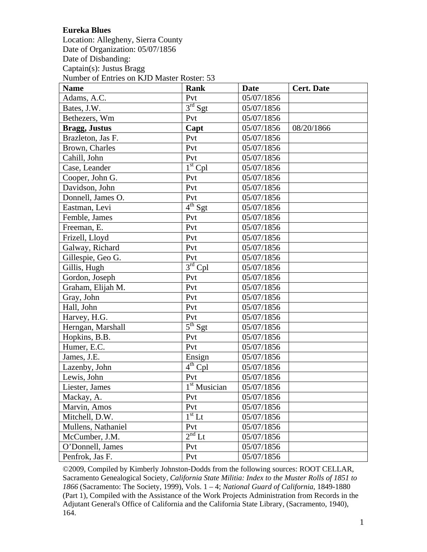## **Eureka Blues**

Location: Allegheny, Sierra County Date of Organization: 05/07/1856 Date of Disbanding: Captain(s): Justus Bragg Number of Entries on KJD Master Roster: 53

| <b>Name</b>          | <b>Rank</b>             | <b>Date</b> | <b>Cert. Date</b> |
|----------------------|-------------------------|-------------|-------------------|
| Adams, A.C.          | Pvt                     | 05/07/1856  |                   |
| Bates, J.W.          | 3 <sup>rd</sup> Sgt     | 05/07/1856  |                   |
| Bethezers, Wm        | Pvt                     | 05/07/1856  |                   |
| <b>Bragg, Justus</b> | Capt                    | 05/07/1856  | 08/20/1866        |
| Brazleton, Jas F.    | Pvt                     | 05/07/1856  |                   |
| Brown, Charles       | Pvt                     | 05/07/1856  |                   |
| Cahill, John         | Pvt                     | 05/07/1856  |                   |
| Case, Leander        | $1st$ Cpl               | 05/07/1856  |                   |
| Cooper, John G.      | Pvt                     | 05/07/1856  |                   |
| Davidson, John       | Pvt                     | 05/07/1856  |                   |
| Donnell, James O.    | Pvt                     | 05/07/1856  |                   |
| Eastman, Levi        | 4 <sup>th</sup> Sgt     | 05/07/1856  |                   |
| Femble, James        | Pvt                     | 05/07/1856  |                   |
| Freeman, E.          | Pvt                     | 05/07/1856  |                   |
| Frizell, Lloyd       | Pvt                     | 05/07/1856  |                   |
| Galway, Richard      | Pvt                     | 05/07/1856  |                   |
| Gillespie, Geo G.    | Pvt                     | 05/07/1856  |                   |
| Gillis, Hugh         | $3rd$ Cpl               | 05/07/1856  |                   |
| Gordon, Joseph       | Pvt                     | 05/07/1856  |                   |
| Graham, Elijah M.    | Pvt                     | 05/07/1856  |                   |
| Gray, John           | Pvt                     | 05/07/1856  |                   |
| Hall, John           | Pvt                     | 05/07/1856  |                   |
| Harvey, H.G.         | Pvt                     | 05/07/1856  |                   |
| Herngan, Marshall    | $\overline{5^{th}}$ Sgt | 05/07/1856  |                   |
| Hopkins, B.B.        | Pvt                     | 05/07/1856  |                   |
| Humer, E.C.          | Pvt                     | 05/07/1856  |                   |
| James, J.E.          | Ensign                  | 05/07/1856  |                   |
| Lazenby, John        | $4^{th}$ Cpl            | 05/07/1856  |                   |
| Lewis, John          | Pvt                     | 05/07/1856  |                   |
| Liester, James       | $1st$ Musician          | 05/07/1856  |                   |
| Mackay, A.           | Pvt                     | 05/07/1856  |                   |
| Marvin, Amos         | Pvt                     | 05/07/1856  |                   |
| Mitchell, D.W.       | $1st$ Lt                | 05/07/1856  |                   |
| Mullens, Nathaniel   | Pvt                     | 05/07/1856  |                   |
| McCumber, J.M.       | $2nd$ Lt                | 05/07/1856  |                   |
| O'Donnell, James     | Pvt                     | 05/07/1856  |                   |
| Penfrok, Jas F.      | Pvt                     | 05/07/1856  |                   |

©2009, Compiled by Kimberly Johnston-Dodds from the following sources: ROOT CELLAR, Sacramento Genealogical Society, *California State Militia: Index to the Muster Rolls of 1851 to 1866* (Sacramento: The Society, 1999), Vols. 1 – 4; *National Guard of California*, 1849-1880 (Part 1), Compiled with the Assistance of the Work Projects Administration from Records in the Adjutant General's Office of California and the California State Library, (Sacramento, 1940), 164.